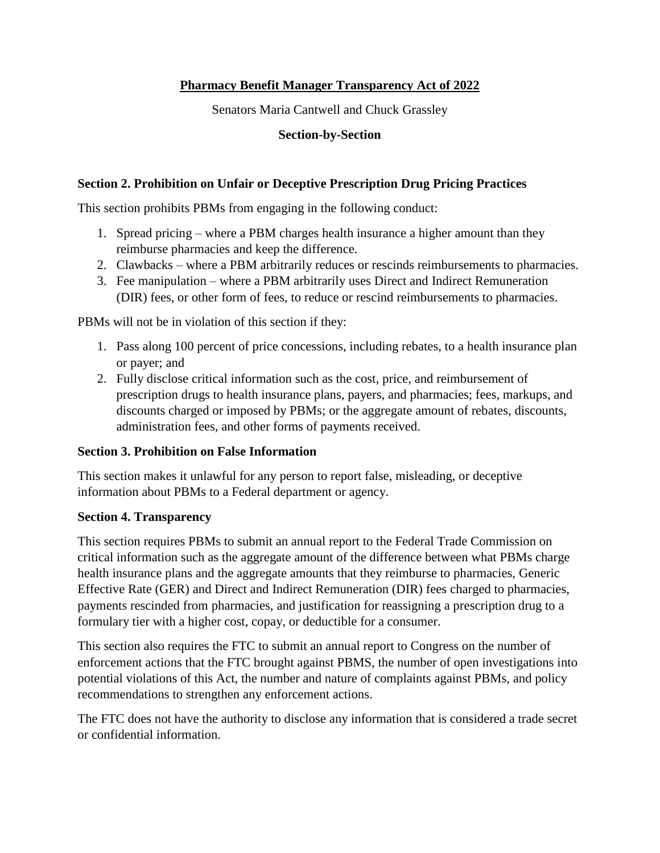# **Pharmacy Benefit Manager Transparency Act of 2022**

Senators Maria Cantwell and Chuck Grassley

### **Section-by-Section**

## **Section 2. Prohibition on Unfair or Deceptive Prescription Drug Pricing Practices**

This section prohibits PBMs from engaging in the following conduct:

- 1. Spread pricing where a PBM charges health insurance a higher amount than they reimburse pharmacies and keep the difference.
- 2. Clawbacks where a PBM arbitrarily reduces or rescinds reimbursements to pharmacies.
- 3. Fee manipulation where a PBM arbitrarily uses Direct and Indirect Remuneration (DIR) fees, or other form of fees, to reduce or rescind reimbursements to pharmacies.

PBMs will not be in violation of this section if they:

- 1. Pass along 100 percent of price concessions, including rebates, to a health insurance plan or payer; and
- 2. Fully disclose critical information such as the cost, price, and reimbursement of prescription drugs to health insurance plans, payers, and pharmacies; fees, markups, and discounts charged or imposed by PBMs; or the aggregate amount of rebates, discounts, administration fees, and other forms of payments received.

## **Section 3. Prohibition on False Information**

This section makes it unlawful for any person to report false, misleading, or deceptive information about PBMs to a Federal department or agency.

#### **Section 4. Transparency**

This section requires PBMs to submit an annual report to the Federal Trade Commission on critical information such as the aggregate amount of the difference between what PBMs charge health insurance plans and the aggregate amounts that they reimburse to pharmacies, Generic Effective Rate (GER) and Direct and Indirect Remuneration (DIR) fees charged to pharmacies, payments rescinded from pharmacies, and justification for reassigning a prescription drug to a formulary tier with a higher cost, copay, or deductible for a consumer.

This section also requires the FTC to submit an annual report to Congress on the number of enforcement actions that the FTC brought against PBMS, the number of open investigations into potential violations of this Act, the number and nature of complaints against PBMs, and policy recommendations to strengthen any enforcement actions.

The FTC does not have the authority to disclose any information that is considered a trade secret or confidential information.